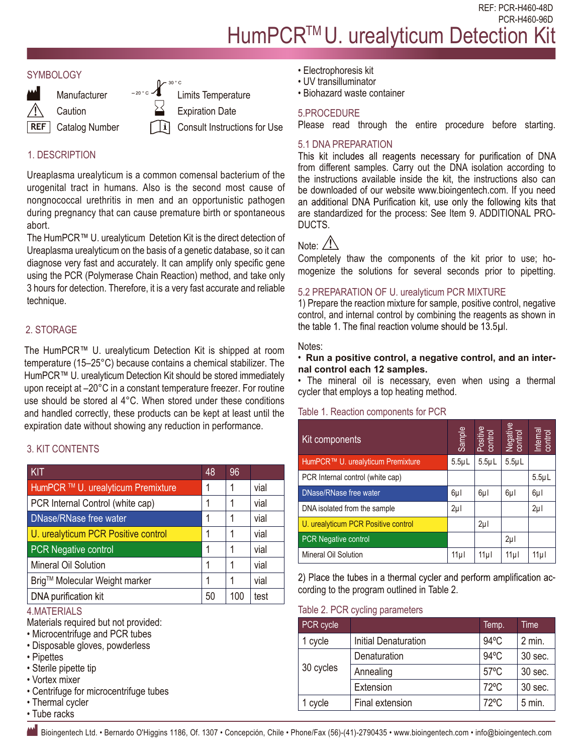REF: PCR-H460-48D PCR-H460-96D

# HumPCR<sup>™</sup>U. urealyticum Detection K





Expiration Date

Consult Instructions for Use

## 1. DESCRIPTION

Ureaplasma urealyticum is a common comensal bacterium of the urogenital tract in humans. Also is the second most cause of nongnococcal urethritis in men and an opportunistic pathogen during pregnancy that can cause premature birth or spontaneous abort.

The HumPCR™ U. urealyticum Detetion Kit is the direct detection of Ureaplasma urealyticum on the basis of a genetic database, so it can diagnose very fast and accurately. It can amplify only specific gene using the PCR (Polymerase Chain Reaction) method, and take only 3 hours for detection. Therefore, it is a very fast accurate and reliable technique.

## 2. STORAGE

The HumPCR™ U. urealyticum Detection Kit is shipped at room temperature (15–25°C) because contains a chemical stabilizer. The HumPCR™ U. urealyticum Detection Kit should be stored immediately upon receipt at –20°C in a constant temperature freezer. For routine use should be stored al 4°C. When stored under these conditions and handled correctly, these products can be kept at least until the expiration date without showing any reduction in performance.

## 3. KIT CONTENTS

| <b>KIT</b>                          | 48 | 96  |      |
|-------------------------------------|----|-----|------|
| HumPCR ™ U. urealyticum Premixture  | 1  |     | vial |
| PCR Internal Control (white cap)    | 1  |     | vial |
| <b>DNase/RNase free water</b>       | 1  |     | vial |
| U. urealyticum PCR Positive control | 1  |     | vial |
| <b>PCR Negative control</b>         | 1  |     | vial |
| Mineral Oil Solution                | 1  |     | vial |
| Brig™ Molecular Weight marker       | 1  |     | vial |
| DNA purification kit                | 50 | 100 | test |

## 4.MATERIALS

Materials required but not provided:

- Microcentrifuge and PCR tubes
- Disposable gloves, powderless
- Pipettes
- Sterile pipette tip
- Vortex mixer
- Centrifuge for microcentrifuge tubes
- Thermal cycler
- Tube racks
- Electrophoresis kit
- UV transilluminator
- Biohazard waste container

#### 5.PROCEDURE

Please read through the entire procedure before starting.

#### 5.1 DNA PREPARATION

This kit includes all reagents necessary for purification of DNA from different samples. Carry out the DNA isolation according to the instructions available inside the kit, the instructions also can be downloaded of our website www.bioingentech.com. If you need an additional DNA Purification kit, use only the following kits that are standardized for the process: See Item 9. ADDITIONAL PRO-DUCTS.

## Note:  $/$

Completely thaw the components of the kit prior to use; homogenize the solutions for several seconds prior to pipetting.

#### 5.2 PREPARATION OF U. urealyticum PCR MIXTURE

1) Prepare the reaction mixture for sample, positive control, negative control, and internal control by combining the reagents as shown in the table 1. The final reaction volume should be 13.5µl.

#### Notes:

#### • **Run a positive control, a negative control, and an internal control each 12 samples.**

• The mineral oil is necessary, even when using a thermal cycler that employs a top heating method.

#### Table 1. Reaction components for PCR

| ration date without showing any reduction in performance.<br><b>IT CONTENTS</b>                                                                                                     |    |           |                             | Kit components                                                                                                      |                                   | Sample      | Positive<br>control | Negative<br>control | Internal<br>control |
|-------------------------------------------------------------------------------------------------------------------------------------------------------------------------------------|----|-----------|-----------------------------|---------------------------------------------------------------------------------------------------------------------|-----------------------------------|-------------|---------------------|---------------------|---------------------|
|                                                                                                                                                                                     |    |           |                             |                                                                                                                     | HumPCR™ U. urealyticum Premixture | $5.5 \mu L$ | $5.5\mu L$          | $5.5 \mu L$         |                     |
|                                                                                                                                                                                     | 48 | 96        |                             | PCR Internal control (white cap)                                                                                    |                                   |             |                     |                     | $5.5 \mu L$         |
| mPCR ™ U. urealyticum Premixture                                                                                                                                                    | 1  |           | vial                        | DNase/RNase free water                                                                                              |                                   | $6\mu$      | $6\mu$              | $6\mu$              | $6\mu$              |
| R Internal Control (white cap)                                                                                                                                                      |    |           | vial                        | DNA isolated from the sample                                                                                        |                                   | $2\mu$      |                     |                     | $2\mu$              |
| lase/RNase free water                                                                                                                                                               | 1  |           | vial                        | U. urealyticum PCR Positive control                                                                                 |                                   |             | $2\mu$              |                     |                     |
| urealyticum PCR Positive control                                                                                                                                                    | 1  |           | vial                        | PCR Negative control                                                                                                |                                   |             |                     | $2\mu$              |                     |
| <b>R</b> Negative control                                                                                                                                                           | 1  |           | vial                        | Mineral Oil Solution                                                                                                |                                   | 11µ         | 11µ                 | 11µl                | 11µl                |
| neral Oil Solution                                                                                                                                                                  | 1  |           | vial                        |                                                                                                                     |                                   |             |                     |                     |                     |
| g™ Molecular Weight marker                                                                                                                                                          |    |           | vial                        | 2) Place the tubes in a thermal cycler and perform amplification ac-<br>cording to the program outlined in Table 2. |                                   |             |                     |                     |                     |
| <b>JA</b> purification kit                                                                                                                                                          | 50 | 100       | test                        |                                                                                                                     |                                   |             |                     |                     |                     |
| <b>ATERIALS</b>                                                                                                                                                                     |    |           |                             |                                                                                                                     | Table 2. PCR cycling parameters   |             |                     |                     |                     |
| erials required but not provided:<br>crocentrifuge and PCR tubes<br>sposable gloves, powderless<br>pettes<br>erile pipette tip<br>rtex mixer<br>entrifuge for microcentrifuge tubes |    | PCR cycle |                             |                                                                                                                     | Temp.                             |             | Time                |                     |                     |
|                                                                                                                                                                                     |    | 1 cycle   | <b>Initial Denaturation</b> |                                                                                                                     | 94°C                              |             | 2 min.              |                     |                     |
|                                                                                                                                                                                     |    | 30 cycles | Denaturation                |                                                                                                                     | 94°C                              |             | 30 sec.             |                     |                     |
|                                                                                                                                                                                     |    |           | Annealing                   |                                                                                                                     | $57^{\circ}$ C                    |             | 30 sec.             |                     |                     |
|                                                                                                                                                                                     |    |           | Extension                   |                                                                                                                     | $72^{\circ}$ C                    |             | 30 sec.             |                     |                     |
| ermal cycler                                                                                                                                                                        |    |           |                             | 1 cycle                                                                                                             | Final extension                   |             | 72°C                |                     | $5$ min.            |
| be racks                                                                                                                                                                            |    |           |                             |                                                                                                                     |                                   |             |                     |                     |                     |
| Bioingentech Ltd. • Bernardo O'Higgins 1186, Of. 1307 • Concepción, Chile • Phone/Fax (56)-(41)-2790435 • www.bioingentech.com • info@bioingentech.com                              |    |           |                             |                                                                                                                     |                                   |             |                     |                     |                     |

#### Table 2. PCR cycling parameters

| PCR cycle |                             | Temp.          | Time     |
|-----------|-----------------------------|----------------|----------|
| 1 cycle   | <b>Initial Denaturation</b> | $94^{\circ}$ C | 2 min.   |
| 30 cycles | Denaturation                | $94^{\circ}$ C | 30 sec.  |
|           | Annealing                   | $57^{\circ}$ C | 30 sec.  |
|           | Extension                   | $72^{\circ}$ C | 30 sec.  |
| 1 cycle   | Final extension             | $72^{\circ}$ C | $5$ min. |